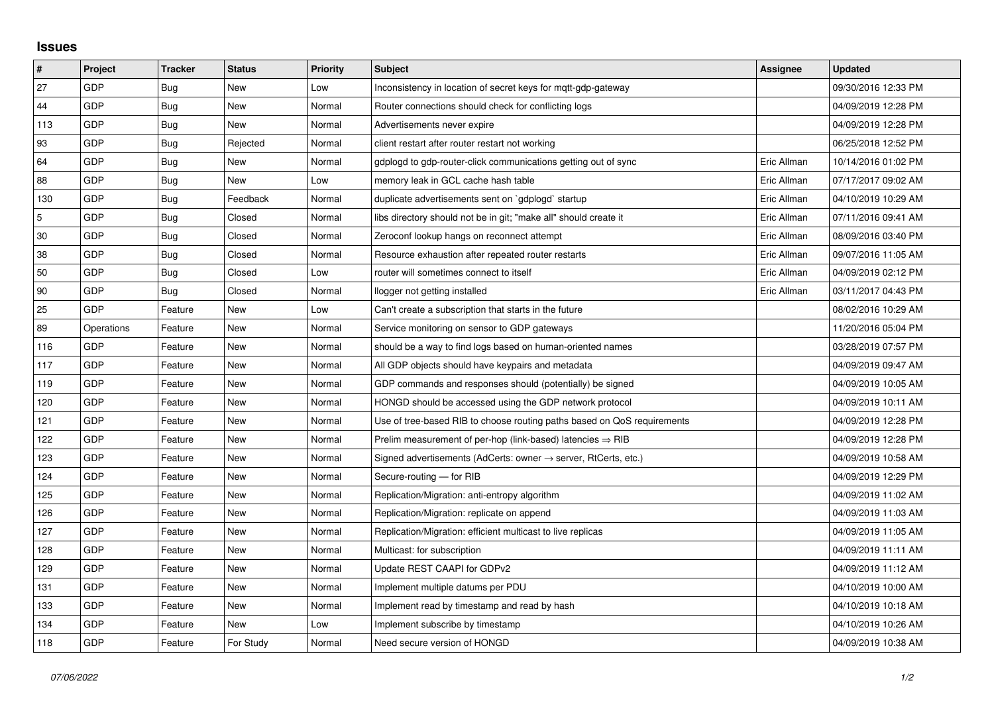## **Issues**

| #   | Project    | <b>Tracker</b> | <b>Status</b> | <b>Priority</b> | <b>Subject</b>                                                             | Assignee    | <b>Updated</b>      |
|-----|------------|----------------|---------------|-----------------|----------------------------------------------------------------------------|-------------|---------------------|
| 27  | GDP        | Bug            | <b>New</b>    | Low             | Inconsistency in location of secret keys for mqtt-gdp-gateway              |             | 09/30/2016 12:33 PM |
| 44  | GDP        | Bug            | New           | Normal          | Router connections should check for conflicting logs                       |             | 04/09/2019 12:28 PM |
| 113 | GDP        | Bug            | New           | Normal          | Advertisements never expire                                                |             | 04/09/2019 12:28 PM |
| 93  | GDP        | <b>Bug</b>     | Rejected      | Normal          | client restart after router restart not working                            |             | 06/25/2018 12:52 PM |
| 64  | GDP        | Bug            | New           | Normal          | gdplogd to gdp-router-click communications getting out of sync             | Eric Allman | 10/14/2016 01:02 PM |
| 88  | GDP        | <b>Bug</b>     | New           | Low             | memory leak in GCL cache hash table                                        | Eric Allman | 07/17/2017 09:02 AM |
| 130 | GDP        | <b>Bug</b>     | Feedback      | Normal          | duplicate advertisements sent on `gdplogd` startup                         | Eric Allman | 04/10/2019 10:29 AM |
| 5   | GDP        | <b>Bug</b>     | Closed        | Normal          | libs directory should not be in git; "make all" should create it           | Eric Allman | 07/11/2016 09:41 AM |
| 30  | GDP        | <b>Bug</b>     | Closed        | Normal          | Zeroconf lookup hangs on reconnect attempt                                 | Eric Allman | 08/09/2016 03:40 PM |
| 38  | GDP        | Bug            | Closed        | Normal          | Resource exhaustion after repeated router restarts                         | Eric Allman | 09/07/2016 11:05 AM |
| 50  | GDP        | <b>Bug</b>     | Closed        | Low             | router will sometimes connect to itself                                    | Eric Allman | 04/09/2019 02:12 PM |
| 90  | GDP        | Bug            | Closed        | Normal          | llogger not getting installed                                              | Eric Allman | 03/11/2017 04:43 PM |
| 25  | GDP        | Feature        | New           | Low             | Can't create a subscription that starts in the future                      |             | 08/02/2016 10:29 AM |
| 89  | Operations | Feature        | New           | Normal          | Service monitoring on sensor to GDP gateways                               |             | 11/20/2016 05:04 PM |
| 116 | GDP        | Feature        | <b>New</b>    | Normal          | should be a way to find logs based on human-oriented names                 |             | 03/28/2019 07:57 PM |
| 117 | GDP        | Feature        | New           | Normal          | All GDP objects should have keypairs and metadata                          |             | 04/09/2019 09:47 AM |
| 119 | GDP        | Feature        | New           | Normal          | GDP commands and responses should (potentially) be signed                  |             | 04/09/2019 10:05 AM |
| 120 | GDP        | Feature        | New           | Normal          | HONGD should be accessed using the GDP network protocol                    |             | 04/09/2019 10:11 AM |
| 121 | GDP        | Feature        | New           | Normal          | Use of tree-based RIB to choose routing paths based on QoS requirements    |             | 04/09/2019 12:28 PM |
| 122 | GDP        | Feature        | New           | Normal          | Prelim measurement of per-hop (link-based) latencies $\Rightarrow$ RIB     |             | 04/09/2019 12:28 PM |
| 123 | GDP        | Feature        | New           | Normal          | Signed advertisements (AdCerts: owner $\rightarrow$ server, RtCerts, etc.) |             | 04/09/2019 10:58 AM |
| 124 | GDP        | Feature        | New           | Normal          | Secure-routing - for RIB                                                   |             | 04/09/2019 12:29 PM |
| 125 | GDP        | Feature        | <b>New</b>    | Normal          | Replication/Migration: anti-entropy algorithm                              |             | 04/09/2019 11:02 AM |
| 126 | GDP        | Feature        | New           | Normal          | Replication/Migration: replicate on append                                 |             | 04/09/2019 11:03 AM |
| 127 | GDP        | Feature        | New           | Normal          | Replication/Migration: efficient multicast to live replicas                |             | 04/09/2019 11:05 AM |
| 128 | GDP        | Feature        | New           | Normal          | Multicast: for subscription                                                |             | 04/09/2019 11:11 AM |
| 129 | GDP        | Feature        | New           | Normal          | Update REST CAAPI for GDPv2                                                |             | 04/09/2019 11:12 AM |
| 131 | GDP        | Feature        | New           | Normal          | Implement multiple datums per PDU                                          |             | 04/10/2019 10:00 AM |
| 133 | GDP        | Feature        | New           | Normal          | Implement read by timestamp and read by hash                               |             | 04/10/2019 10:18 AM |
| 134 | GDP        | Feature        | New           | Low             | Implement subscribe by timestamp                                           |             | 04/10/2019 10:26 AM |
| 118 | GDP        | Feature        | For Study     | Normal          | Need secure version of HONGD                                               |             | 04/09/2019 10:38 AM |